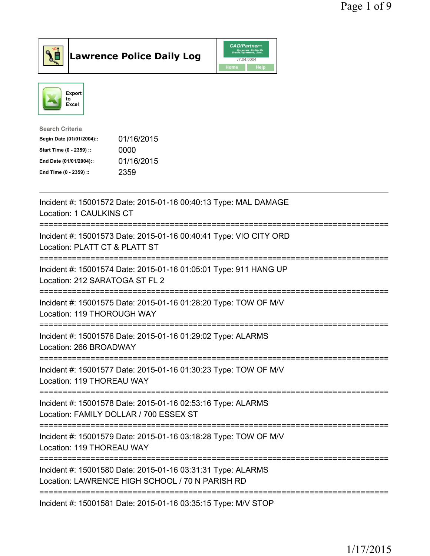



| <b>Search Criteria</b>    |            |
|---------------------------|------------|
| Begin Date (01/01/2004):: | 01/16/2015 |
| Start Time (0 - 2359) ::  | 0000       |
| End Date (01/01/2004)::   | 01/16/2015 |
| End Time (0 - 2359) ::    | 2359       |
|                           |            |

| Incident #: 15001572 Date: 2015-01-16 00:40:13 Type: MAL DAMAGE<br>Location: 1 CAULKINS CT                                     |
|--------------------------------------------------------------------------------------------------------------------------------|
| Incident #: 15001573 Date: 2015-01-16 00:40:41 Type: VIO CITY ORD<br>Location: PLATT CT & PLATT ST                             |
| Incident #: 15001574 Date: 2015-01-16 01:05:01 Type: 911 HANG UP<br>Location: 212 SARATOGA ST FL 2<br>---------------------    |
| Incident #: 15001575 Date: 2015-01-16 01:28:20 Type: TOW OF M/V<br>Location: 119 THOROUGH WAY<br>----------------------        |
| Incident #: 15001576 Date: 2015-01-16 01:29:02 Type: ALARMS<br>Location: 266 BROADWAY                                          |
| Incident #: 15001577 Date: 2015-01-16 01:30:23 Type: TOW OF M/V<br>Location: 119 THOREAU WAY                                   |
| Incident #: 15001578 Date: 2015-01-16 02:53:16 Type: ALARMS<br>Location: FAMILY DOLLAR / 700 ESSEX ST                          |
| ==============================<br>Incident #: 15001579 Date: 2015-01-16 03:18:28 Type: TOW OF M/V<br>Location: 119 THOREAU WAY |
| Incident #: 15001580 Date: 2015-01-16 03:31:31 Type: ALARMS<br>Location: LAWRENCE HIGH SCHOOL / 70 N PARISH RD                 |
| Incident #: 15001581 Date: 2015-01-16 03:35:15 Type: M/V STOP                                                                  |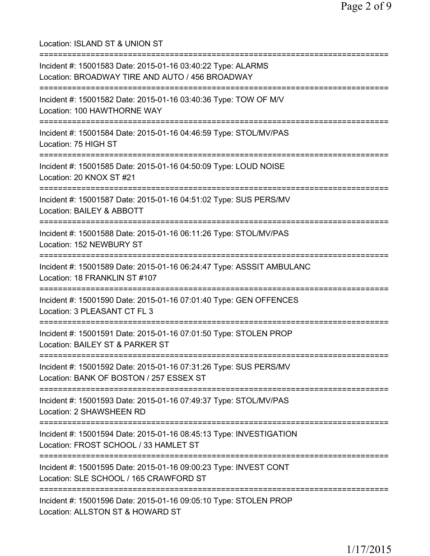Location: ISLAND ST & UNION ST =========================================================================== Incident #: 15001583 Date: 2015-01-16 03:40:22 Type: ALARMS Location: BROADWAY TIRE AND AUTO / 456 BROADWAY =========================================================================== Incident #: 15001582 Date: 2015-01-16 03:40:36 Type: TOW OF M/V Location: 100 HAWTHORNE WAY =========================================================================== Incident #: 15001584 Date: 2015-01-16 04:46:59 Type: STOL/MV/PAS Location: 75 HIGH ST =========================================================================== Incident #: 15001585 Date: 2015-01-16 04:50:09 Type: LOUD NOISE Location: 20 KNOX ST #21 =========================================================================== Incident #: 15001587 Date: 2015-01-16 04:51:02 Type: SUS PERS/MV Location: BAILEY & ABBOTT =========================================================================== Incident #: 15001588 Date: 2015-01-16 06:11:26 Type: STOL/MV/PAS Location: 152 NEWBURY ST =========================================================================== Incident #: 15001589 Date: 2015-01-16 06:24:47 Type: ASSSIT AMBULANC Location: 18 FRANKLIN ST #107 =========================================================================== Incident #: 15001590 Date: 2015-01-16 07:01:40 Type: GEN OFFENCES Location: 3 PLEASANT CT FL 3 =========================================================================== Incident #: 15001591 Date: 2015-01-16 07:01:50 Type: STOLEN PROP Location: BAILEY ST & PARKER ST =========================================================================== Incident #: 15001592 Date: 2015-01-16 07:31:26 Type: SUS PERS/MV Location: BANK OF BOSTON / 257 ESSEX ST =========================================================================== Incident #: 15001593 Date: 2015-01-16 07:49:37 Type: STOL/MV/PAS Location: 2 SHAWSHEEN RD =========================================================================== Incident #: 15001594 Date: 2015-01-16 08:45:13 Type: INVESTIGATION Location: FROST SCHOOL / 33 HAMLET ST =========================================================================== Incident #: 15001595 Date: 2015-01-16 09:00:23 Type: INVEST CONT Location: SLE SCHOOL / 165 CRAWFORD ST =========================================================================== Incident #: 15001596 Date: 2015-01-16 09:05:10 Type: STOLEN PROP Location: ALLSTON ST & HOWARD ST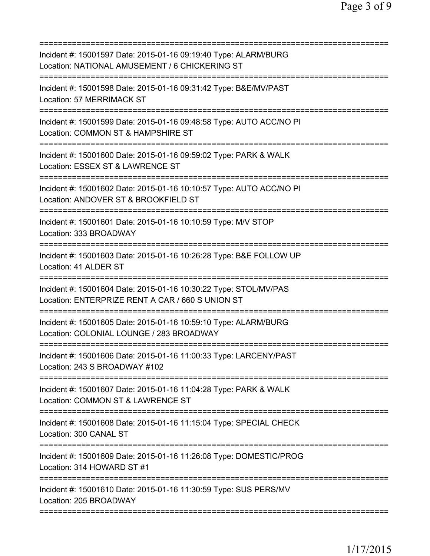| Incident #: 15001597 Date: 2015-01-16 09:19:40 Type: ALARM/BURG<br>Location: NATIONAL AMUSEMENT / 6 CHICKERING ST    |
|----------------------------------------------------------------------------------------------------------------------|
| Incident #: 15001598 Date: 2015-01-16 09:31:42 Type: B&E/MV/PAST<br>Location: 57 MERRIMACK ST                        |
| Incident #: 15001599 Date: 2015-01-16 09:48:58 Type: AUTO ACC/NO PI<br>Location: COMMON ST & HAMPSHIRE ST            |
| Incident #: 15001600 Date: 2015-01-16 09:59:02 Type: PARK & WALK<br>Location: ESSEX ST & LAWRENCE ST                 |
| Incident #: 15001602 Date: 2015-01-16 10:10:57 Type: AUTO ACC/NO PI<br>Location: ANDOVER ST & BROOKFIELD ST          |
| Incident #: 15001601 Date: 2015-01-16 10:10:59 Type: M/V STOP<br>Location: 333 BROADWAY                              |
| Incident #: 15001603 Date: 2015-01-16 10:26:28 Type: B&E FOLLOW UP<br>Location: 41 ALDER ST                          |
| Incident #: 15001604 Date: 2015-01-16 10:30:22 Type: STOL/MV/PAS<br>Location: ENTERPRIZE RENT A CAR / 660 S UNION ST |
| Incident #: 15001605 Date: 2015-01-16 10:59:10 Type: ALARM/BURG<br>Location: COLONIAL LOUNGE / 283 BROADWAY          |
| Incident #: 15001606 Date: 2015-01-16 11:00:33 Type: LARCENY/PAST<br>Location: 243 S BROADWAY #102                   |
| Incident #: 15001607 Date: 2015-01-16 11:04:28 Type: PARK & WALK<br>Location: COMMON ST & LAWRENCE ST                |
| Incident #: 15001608 Date: 2015-01-16 11:15:04 Type: SPECIAL CHECK<br>Location: 300 CANAL ST                         |
| Incident #: 15001609 Date: 2015-01-16 11:26:08 Type: DOMESTIC/PROG<br>Location: 314 HOWARD ST #1                     |
| Incident #: 15001610 Date: 2015-01-16 11:30:59 Type: SUS PERS/MV<br>Location: 205 BROADWAY                           |
|                                                                                                                      |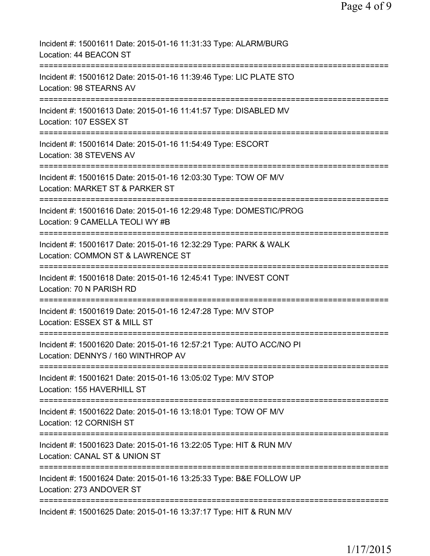| Incident #: 15001611 Date: 2015-01-16 11:31:33 Type: ALARM/BURG<br>Location: 44 BEACON ST                                     |
|-------------------------------------------------------------------------------------------------------------------------------|
| Incident #: 15001612 Date: 2015-01-16 11:39:46 Type: LIC PLATE STO<br>Location: 98 STEARNS AV                                 |
| Incident #: 15001613 Date: 2015-01-16 11:41:57 Type: DISABLED MV<br>Location: 107 ESSEX ST                                    |
| Incident #: 15001614 Date: 2015-01-16 11:54:49 Type: ESCORT<br>Location: 38 STEVENS AV                                        |
| Incident #: 15001615 Date: 2015-01-16 12:03:30 Type: TOW OF M/V<br>Location: MARKET ST & PARKER ST                            |
| Incident #: 15001616 Date: 2015-01-16 12:29:48 Type: DOMESTIC/PROG<br>Location: 9 CAMELLA TEOLI WY #B                         |
| Incident #: 15001617 Date: 2015-01-16 12:32:29 Type: PARK & WALK<br>Location: COMMON ST & LAWRENCE ST                         |
| Incident #: 15001618 Date: 2015-01-16 12:45:41 Type: INVEST CONT<br>Location: 70 N PARISH RD                                  |
| Incident #: 15001619 Date: 2015-01-16 12:47:28 Type: M/V STOP<br>Location: ESSEX ST & MILL ST                                 |
| Incident #: 15001620 Date: 2015-01-16 12:57:21 Type: AUTO ACC/NO PI<br>Location: DENNYS / 160 WINTHROP AV                     |
| Incident #: 15001621 Date: 2015-01-16 13:05:02 Type: M/V STOP<br>Location: 155 HAVERHILL ST                                   |
| Incident #: 15001622 Date: 2015-01-16 13:18:01 Type: TOW OF M/V<br>Location: 12 CORNISH ST<br>------------------------------- |
| Incident #: 15001623 Date: 2015-01-16 13:22:05 Type: HIT & RUN M/V<br>Location: CANAL ST & UNION ST                           |
| Incident #: 15001624 Date: 2015-01-16 13:25:33 Type: B&E FOLLOW UP<br>Location: 273 ANDOVER ST                                |
| Incident #: 15001625 Date: 2015-01-16 13:37:17 Type: HIT & RUN M/V                                                            |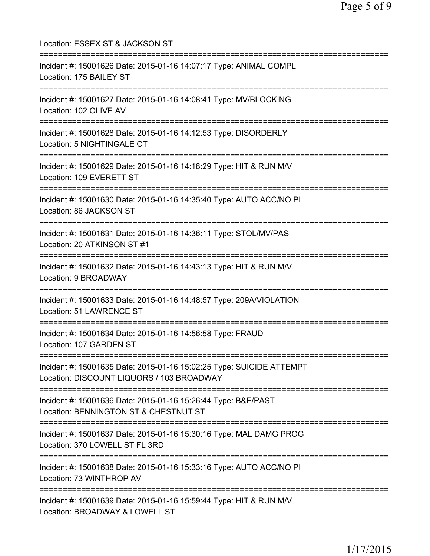Location: ESSEX ST & JACKSON ST =========================================================================== Incident #: 15001626 Date: 2015-01-16 14:07:17 Type: ANIMAL COMPL Location: 175 BAILEY ST =========================================================================== Incident #: 15001627 Date: 2015-01-16 14:08:41 Type: MV/BLOCKING Location: 102 OLIVE AV =========================================================================== Incident #: 15001628 Date: 2015-01-16 14:12:53 Type: DISORDERLY Location: 5 NIGHTINGALE CT =========================================================================== Incident #: 15001629 Date: 2015-01-16 14:18:29 Type: HIT & RUN M/V Location: 109 EVERETT ST =========================================================================== Incident #: 15001630 Date: 2015-01-16 14:35:40 Type: AUTO ACC/NO PI Location: 86 JACKSON ST =========================================================================== Incident #: 15001631 Date: 2015-01-16 14:36:11 Type: STOL/MV/PAS Location: 20 ATKINSON ST #1 =========================================================================== Incident #: 15001632 Date: 2015-01-16 14:43:13 Type: HIT & RUN M/V Location: 9 BROADWAY =========================================================================== Incident #: 15001633 Date: 2015-01-16 14:48:57 Type: 209A/VIOLATION Location: 51 LAWRENCE ST =========================================================================== Incident #: 15001634 Date: 2015-01-16 14:56:58 Type: FRAUD Location: 107 GARDEN ST =========================================================================== Incident #: 15001635 Date: 2015-01-16 15:02:25 Type: SUICIDE ATTEMPT Location: DISCOUNT LIQUORS / 103 BROADWAY =========================================================================== Incident #: 15001636 Date: 2015-01-16 15:26:44 Type: B&E/PAST Location: BENNINGTON ST & CHESTNUT ST =========================================================================== Incident #: 15001637 Date: 2015-01-16 15:30:16 Type: MAL DAMG PROG Location: 370 LOWELL ST FL 3RD =========================================================================== Incident #: 15001638 Date: 2015-01-16 15:33:16 Type: AUTO ACC/NO PI Location: 73 WINTHROP AV =========================================================================== Incident #: 15001639 Date: 2015-01-16 15:59:44 Type: HIT & RUN M/V Location: BROADWAY & LOWELL ST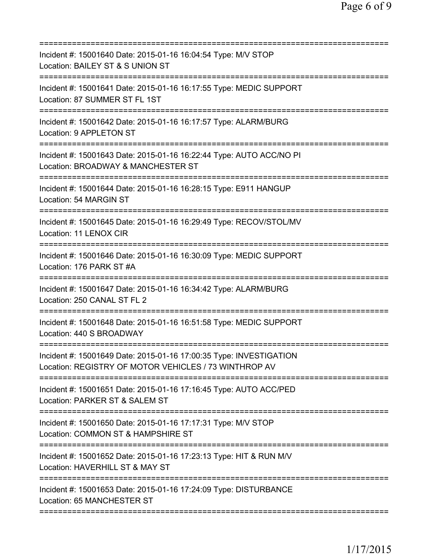| Incident #: 15001640 Date: 2015-01-16 16:04:54 Type: M/V STOP<br>Location: BAILEY ST & S UNION ST<br>========================        |
|--------------------------------------------------------------------------------------------------------------------------------------|
| Incident #: 15001641 Date: 2015-01-16 16:17:55 Type: MEDIC SUPPORT<br>Location: 87 SUMMER ST FL 1ST                                  |
| Incident #: 15001642 Date: 2015-01-16 16:17:57 Type: ALARM/BURG<br>Location: 9 APPLETON ST                                           |
| Incident #: 15001643 Date: 2015-01-16 16:22:44 Type: AUTO ACC/NO PI<br>Location: BROADWAY & MANCHESTER ST<br>======================  |
| Incident #: 15001644 Date: 2015-01-16 16:28:15 Type: E911 HANGUP<br>Location: 54 MARGIN ST                                           |
| ====================================<br>Incident #: 15001645 Date: 2015-01-16 16:29:49 Type: RECOV/STOL/MV<br>Location: 11 LENOX CIR |
| Incident #: 15001646 Date: 2015-01-16 16:30:09 Type: MEDIC SUPPORT<br>Location: 176 PARK ST #A                                       |
| Incident #: 15001647 Date: 2015-01-16 16:34:42 Type: ALARM/BURG<br>Location: 250 CANAL ST FL 2                                       |
| Incident #: 15001648 Date: 2015-01-16 16:51:58 Type: MEDIC SUPPORT<br>Location: 440 S BROADWAY                                       |
| Incident #: 15001649 Date: 2015-01-16 17:00:35 Type: INVESTIGATION<br>Location: REGISTRY OF MOTOR VEHICLES / 73 WINTHROP AV          |
| Incident #: 15001651 Date: 2015-01-16 17:16:45 Type: AUTO ACC/PED<br>Location: PARKER ST & SALEM ST                                  |
| Incident #: 15001650 Date: 2015-01-16 17:17:31 Type: M/V STOP<br>Location: COMMON ST & HAMPSHIRE ST                                  |
| Incident #: 15001652 Date: 2015-01-16 17:23:13 Type: HIT & RUN M/V<br>Location: HAVERHILL ST & MAY ST                                |
| Incident #: 15001653 Date: 2015-01-16 17:24:09 Type: DISTURBANCE<br>Location: 65 MANCHESTER ST                                       |
|                                                                                                                                      |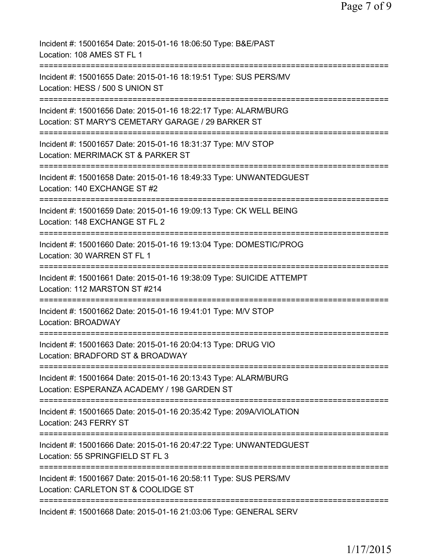| Incident #: 15001654 Date: 2015-01-16 18:06:50 Type: B&E/PAST<br>Location: 108 AMES ST FL 1                                                    |
|------------------------------------------------------------------------------------------------------------------------------------------------|
| Incident #: 15001655 Date: 2015-01-16 18:19:51 Type: SUS PERS/MV<br>Location: HESS / 500 S UNION ST                                            |
| Incident #: 15001656 Date: 2015-01-16 18:22:17 Type: ALARM/BURG<br>Location: ST MARY'S CEMETARY GARAGE / 29 BARKER ST<br>===================== |
| Incident #: 15001657 Date: 2015-01-16 18:31:37 Type: M/V STOP<br>Location: MERRIMACK ST & PARKER ST                                            |
| Incident #: 15001658 Date: 2015-01-16 18:49:33 Type: UNWANTEDGUEST<br>Location: 140 EXCHANGE ST #2                                             |
| Incident #: 15001659 Date: 2015-01-16 19:09:13 Type: CK WELL BEING<br>Location: 148 EXCHANGE ST FL 2                                           |
| Incident #: 15001660 Date: 2015-01-16 19:13:04 Type: DOMESTIC/PROG<br>Location: 30 WARREN ST FL 1                                              |
| Incident #: 15001661 Date: 2015-01-16 19:38:09 Type: SUICIDE ATTEMPT<br>Location: 112 MARSTON ST #214                                          |
| Incident #: 15001662 Date: 2015-01-16 19:41:01 Type: M/V STOP<br><b>Location: BROADWAY</b>                                                     |
| Incident #: 15001663 Date: 2015-01-16 20:04:13 Type: DRUG VIO<br>Location: BRADFORD ST & BROADWAY                                              |
| Incident #: 15001664 Date: 2015-01-16 20:13:43 Type: ALARM/BURG<br>Location: ESPERANZA ACADEMY / 198 GARDEN ST                                 |
| Incident #: 15001665 Date: 2015-01-16 20:35:42 Type: 209A/VIOLATION<br>Location: 243 FERRY ST                                                  |
| Incident #: 15001666 Date: 2015-01-16 20:47:22 Type: UNWANTEDGUEST<br>Location: 55 SPRINGFIELD ST FL 3                                         |
| Incident #: 15001667 Date: 2015-01-16 20:58:11 Type: SUS PERS/MV<br>Location: CARLETON ST & COOLIDGE ST                                        |
| Incident #: 15001668 Date: 2015-01-16 21:03:06 Type: GENERAL SERV                                                                              |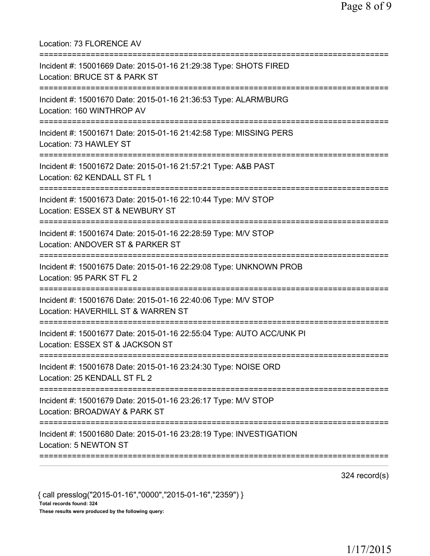| Location: 73 FLORENCE AV                                                                                                                |
|-----------------------------------------------------------------------------------------------------------------------------------------|
| Incident #: 15001669 Date: 2015-01-16 21:29:38 Type: SHOTS FIRED<br>Location: BRUCE ST & PARK ST                                        |
| Incident #: 15001670 Date: 2015-01-16 21:36:53 Type: ALARM/BURG<br>Location: 160 WINTHROP AV                                            |
| Incident #: 15001671 Date: 2015-01-16 21:42:58 Type: MISSING PERS<br>Location: 73 HAWLEY ST                                             |
| Incident #: 15001672 Date: 2015-01-16 21:57:21 Type: A&B PAST<br>Location: 62 KENDALL ST FL 1                                           |
| Incident #: 15001673 Date: 2015-01-16 22:10:44 Type: M/V STOP<br>Location: ESSEX ST & NEWBURY ST<br>=================================== |
| Incident #: 15001674 Date: 2015-01-16 22:28:59 Type: M/V STOP<br>Location: ANDOVER ST & PARKER ST                                       |
| Incident #: 15001675 Date: 2015-01-16 22:29:08 Type: UNKNOWN PROB<br>Location: 95 PARK ST FL 2                                          |
| Incident #: 15001676 Date: 2015-01-16 22:40:06 Type: M/V STOP<br>Location: HAVERHILL ST & WARREN ST                                     |
| Incident #: 15001677 Date: 2015-01-16 22:55:04 Type: AUTO ACC/UNK PI<br>Location: ESSEX ST & JACKSON ST                                 |
| Incident #: 15001678 Date: 2015-01-16 23:24:30 Type: NOISE ORD<br>Location: 25 KENDALL ST FL 2                                          |
| Incident #: 15001679 Date: 2015-01-16 23:26:17 Type: M/V STOP<br>Location: BROADWAY & PARK ST                                           |
| Incident #: 15001680 Date: 2015-01-16 23:28:19 Type: INVESTIGATION<br>Location: 5 NEWTON ST                                             |
|                                                                                                                                         |

324 record(s)

{ call presslog("2015-01-16","0000","2015-01-16","2359") } Total records found: 324 These results were produced by the following query: